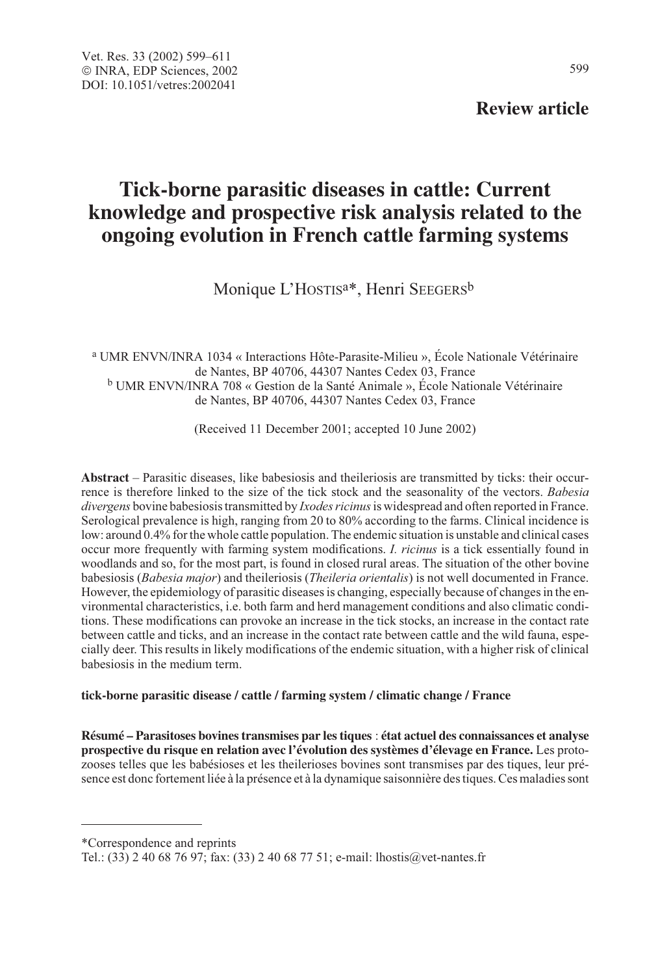# **Review article**

# **Tick-borne parasitic diseases in cattle: Current knowledge and prospective risk analysis related to the ongoing evolution in French cattle farming systems**

Monique L'HOSTIS<sup>a\*</sup>, Henri SEEGERS<sup>b</sup>

<sup>a</sup> UMR ENVN/INRA 1034 « Interactions Hôte-Parasite-Milieu », École Nationale Vétérinaire de Nantes, BP 40706, 44307 Nantes Cedex 03, France <sup>b</sup> UMR ENVN/INRA 708 « Gestion de la Santé Animale », École Nationale Vétérinaire de Nantes, BP 40706, 44307 Nantes Cedex 03, France

(Received 11 December 2001; accepted 10 June 2002)

**Abstract** – Parasitic diseases, like babesiosis and theileriosis are transmitted by ticks: their occurrence is therefore linked to the size of the tick stock and the seasonality of the vectors. Babesia divergens bovine babesiosis transmitted by *Ixodes ricinus* is widespread and often reported in France. Serological prevalence is high, ranging from 20 to 80% according to the farms. Clinical incidence is low: around 0.4% for the whole cattle population. The endemic situation is unstable and clinical cases occur more frequently with farming system modifications. I. ricinus is a tick essentially found in woodlands and so, for the most part, is found in closed rural areas. The situation of the other bovine babesiosis (Babesia major) and theileriosis (Theileria orientalis) is not well documented in France. However, the epidemiology of parasitic diseases is changing, especially because of changes in the environmental characteristics, i.e. both farm and herd management conditions and also climatic conditions. These modifications can provoke an increase in the tick stocks, an increase in the contact rate between cattle and ticks, and an increase in the contact rate between cattle and the wild fauna, especially deer. This results in likely modifications of the endemic situation, with a higher risk of clinical babesiosis in the medium term.

#### **tick-borne parasitic disease / cattle / farming system / climatic change / France**

**Résumé – Parasitoses bovines transmises par les tiques** : **état actuel des connaissances et analyse prospective du risque en relation avec l'évolution des systèmes d'élevage en France.** Les protozooses telles que les babésioses et les theilerioses bovines sont transmises par des tiques, leur présence est donc fortement liée à la présence et à la dynamique saisonnière des tiques. Ces maladies sont

\*Correspondence and reprints

Tel.: (33) 2 40 68 76 97; fax: (33) 2 40 68 77 51; e-mail: lhostis@vet-nantes.fr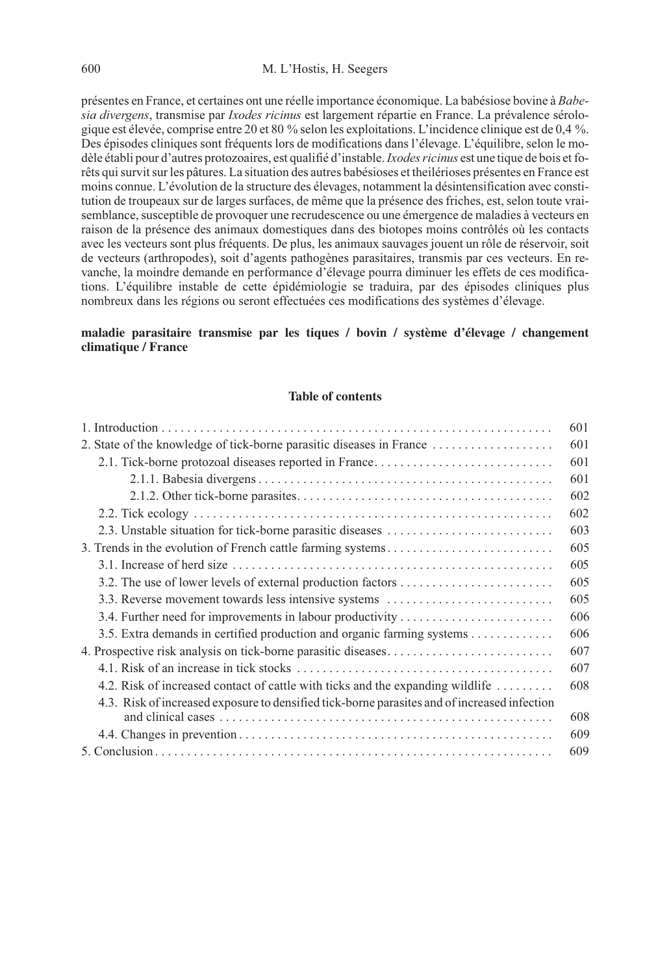présentes en France, et certaines ont une réelle importance économique. La babésiose bovine à Babesia divergens, transmise par *Ixodes ricinus* est largement répartie en France. La prévalence sérologique est élevée, comprise entre 20 et 80 % selon les exploitations. L'incidence clinique est de 0,4 %. Des épisodes cliniques sont fréquents lors de modifications dans l'élevage. L'équilibre, selon le modèle établi pour d'autres protozoaires, est qualifié d'instable. *Ixodes ricinus* est une tique de bois et forêts qui survit sur les pâtures. La situation des autres babésioses et theilérioses présentes en France est moins connue. L'évolution de la structure des élevages, notamment la désintensification avec constitution de troupeaux sur de larges surfaces, de même que la présence des friches, est, selon toute vraisemblance, susceptible de provoquer une recrudescence ou une émergence de maladies à vecteurs en raison de la présence des animaux domestiques dans des biotopes moins contrôlés où les contacts avec les vecteurs sont plus fréquents. De plus, les animaux sauvages jouent un rôle de réservoir, soit de vecteurs (arthropodes), soit d'agents pathogènes parasitaires, transmis par ces vecteurs. En revanche, la moindre demande en performance d'élevage pourra diminuer les effets de ces modifications. L'équilibre instable de cette épidémiologie se traduira, par des épisodes cliniques plus nombreux dans les régions ou seront effectuées ces modifications des systèmes d'élevage.

#### **maladie parasitaire transmise par les tiques / bovin / système d'élevage / changement climatique / France**

#### **Table of contents**

|                                                                                              | 601 |
|----------------------------------------------------------------------------------------------|-----|
| 2. State of the knowledge of tick-borne parasitic diseases in France                         | 601 |
| 2.1. Tick-borne protozoal diseases reported in France                                        | 601 |
|                                                                                              | 601 |
|                                                                                              | 602 |
|                                                                                              | 602 |
| 2.3. Unstable situation for tick-borne parasitic diseases                                    | 603 |
| 3. Trends in the evolution of French cattle farming systems                                  | 605 |
|                                                                                              | 605 |
|                                                                                              | 605 |
| 3.3. Reverse movement towards less intensive systems                                         | 605 |
|                                                                                              | 606 |
| 3.5. Extra demands in certified production and organic farming systems                       | 606 |
|                                                                                              | 607 |
|                                                                                              | 607 |
| 4.2. Risk of increased contact of cattle with ticks and the expanding wildlife               | 608 |
| 4.3. Risk of increased exposure to densified tick-borne parasites and of increased infection | 608 |
|                                                                                              | 609 |
|                                                                                              | 609 |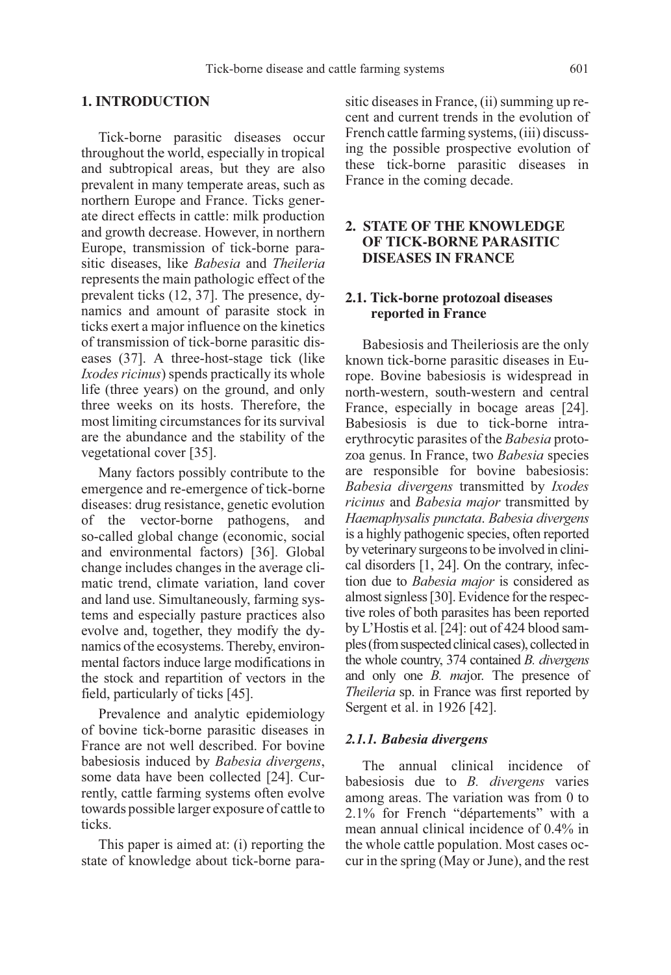#### **1. INTRODUCTION**

Tick-borne parasitic diseases occur throughout the world, especially in tropical and subtropical areas, but they are also prevalent in many temperate areas, such as northern Europe and France. Ticks generate direct effects in cattle: milk production and growth decrease. However, in northern Europe, transmission of tick-borne parasitic diseases, like Babesia and Theileria represents the main pathologic effect of the prevalent ticks (12, 37]. The presence, dynamics and amount of parasite stock in ticks exert a major influence on the kinetics of transmission of tick-borne parasitic diseases (37]. A three-host-stage tick (like Ixodes ricinus) spends practically its whole life (three years) on the ground, and only three weeks on its hosts. Therefore, the most limiting circumstances for its survival are the abundance and the stability of the vegetational cover [35].

Many factors possibly contribute to the emergence and re-emergence of tick-borne diseases: drug resistance, genetic evolution of the vector-borne pathogens, and so-called global change (economic, social and environmental factors) [36]. Global change includes changes in the average climatic trend, climate variation, land cover and land use. Simultaneously, farming systems and especially pasture practices also evolve and, together, they modify the dynamics of the ecosystems. Thereby, environmental factors induce large modifications in the stock and repartition of vectors in the field, particularly of ticks [45].

Prevalence and analytic epidemiology of bovine tick-borne parasitic diseases in France are not well described. For bovine babesiosis induced by Babesia divergens, some data have been collected [24]. Currently, cattle farming systems often evolve towards possible larger exposure of cattle to ticks.

This paper is aimed at: (i) reporting the state of knowledge about tick-borne parasitic diseases in France, (ii) summing up recent and current trends in the evolution of French cattle farming systems, (iii) discussing the possible prospective evolution of these tick-borne parasitic diseases in France in the coming decade.

# **2. STATE OF THE KNOWLEDGE OF TICK-BORNE PARASITIC DISEASES IN FRANCE**

# **2.1. Tick-borne protozoal diseases reported in France**

Babesiosis and Theileriosis are the only known tick-borne parasitic diseases in Europe. Bovine babesiosis is widespread in north-western, south-western and central France, especially in bocage areas [24]. Babesiosis is due to tick-borne intraerythrocytic parasites of the Babesia protozoa genus. In France, two Babesia species are responsible for bovine babesiosis: Babesia divergens transmitted by Ixodes ricinus and Babesia major transmitted by Haemaphysalis punctata. Babesia divergens is a highly pathogenic species, often reported by veterinary surgeons to be involved in clinical disorders [1, 24]. On the contrary, infection due to Babesia major is considered as almost signless [30]. Evidence for the respective roles of both parasites has been reported by L'Hostis et al. [24]: out of 424 blood samples (from suspected clinical cases), collected in the whole country, 374 contained B. divergens and only one B. major. The presence of Theileria sp. in France was first reported by Sergent et al. in 1926 [42].

#### 2.1.1. Babesia divergens

The annual clinical incidence of babesiosis due to  $B$ . *divergens* varies among areas. The variation was from 0 to 2.1% for French "départements" with a mean annual clinical incidence of 0.4% in the whole cattle population. Most cases occur in the spring (May or June), and the rest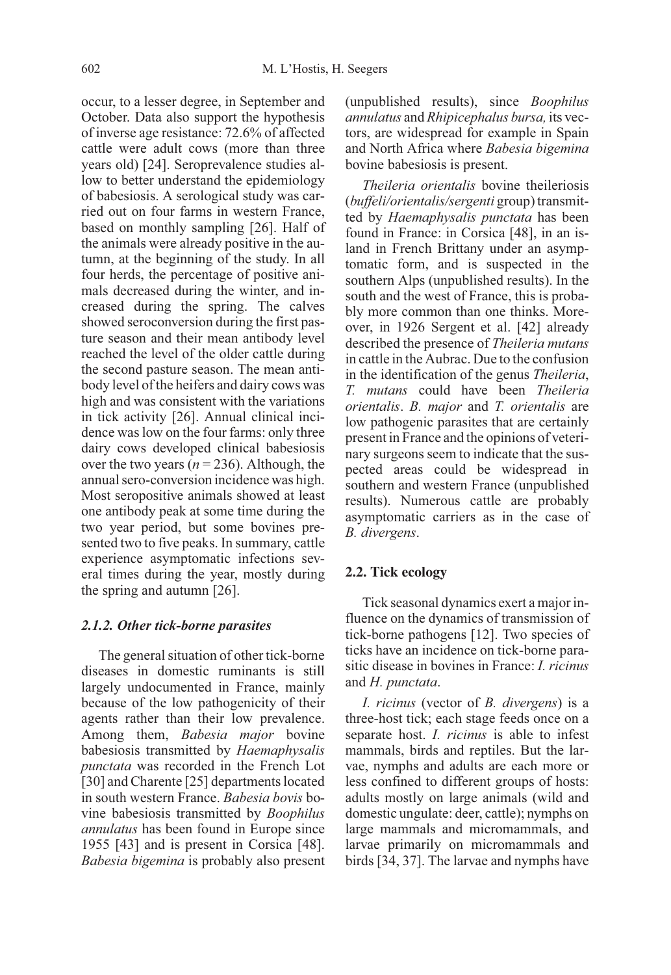occur, to a lesser degree, in September and October. Data also support the hypothesis of inverse age resistance: 72.6% of affected cattle were adult cows (more than three years old) [24]. Seroprevalence studies allow to better understand the epidemiology of babesiosis. A serological study was carried out on four farms in western France, based on monthly sampling [26]. Half of the animals were already positive in the autumn, at the beginning of the study. In all four herds, the percentage of positive animals decreased during the winter, and increased during the spring. The calves showed seroconversion during the first pasture season and their mean antibody level reached the level of the older cattle during the second pasture season. The mean antibody level of the heifers and dairy cows was high and was consistent with the variations in tick activity [26]. Annual clinical incidence was low on the four farms: only three dairy cows developed clinical babesiosis over the two years ( $n = 236$ ). Although, the annual sero-conversion incidence was high. Most seropositive animals showed at least one antibody peak at some time during the two year period, but some bovines presented two to five peaks. In summary, cattle experience asymptomatic infections several times during the year, mostly during the spring and autumn [26].

#### 2.1.2. Other tick-borne parasites

The general situation of other tick-borne diseases in domestic ruminants is still largely undocumented in France, mainly because of the low pathogenicity of their agents rather than their low prevalence. Among them, Babesia major bovine babesiosis transmitted by Haemaphysalis punctata was recorded in the French Lot [30] and Charente [25] departments located in south western France. Babesia bovis bovine babesiosis transmitted by Boophilus annulatus has been found in Europe since 1955 [43] and is present in Corsica [48]. Babesia bigemina is probably also present (unpublished results), since Boophilus annulatus andRhipicephalus bursa, its vectors, are widespread for example in Spain and North Africa where Babesia bigemina bovine babesiosis is present.

Theileria orientalis bovine theileriosis (buffeli/orientalis/sergenti group) transmitted by Haemaphysalis punctata has been found in France: in Corsica [48], in an island in French Brittany under an asymptomatic form, and is suspected in the southern Alps (unpublished results). In the south and the west of France, this is probably more common than one thinks. Moreover, in 1926 Sergent et al. [42] already described the presence of Theileria mutans in cattle in the Aubrac. Due to the confusion in the identification of the genus Theileria, T. mutans could have been Theileria orientalis. B. major and T. orientalis are low pathogenic parasites that are certainly present in France and the opinions of veterinary surgeons seem to indicate that the suspected areas could be widespread in southern and western France (unpublished results). Numerous cattle are probably asymptomatic carriers as in the case of B. divergens.

#### **2.2. Tick ecology**

Tick seasonal dynamics exert a major influence on the dynamics of transmission of tick-borne pathogens [12]. Two species of ticks have an incidence on tick-borne parasitic disease in bovines in France: I. ricinus and H. punctata.

I. ricinus (vector of B. divergens) is a three-host tick; each stage feeds once on a separate host. *I. ricinus* is able to infest mammals, birds and reptiles. But the larvae, nymphs and adults are each more or less confined to different groups of hosts: adults mostly on large animals (wild and domestic ungulate: deer, cattle); nymphs on large mammals and micromammals, and larvae primarily on micromammals and birds [34, 37]. The larvae and nymphs have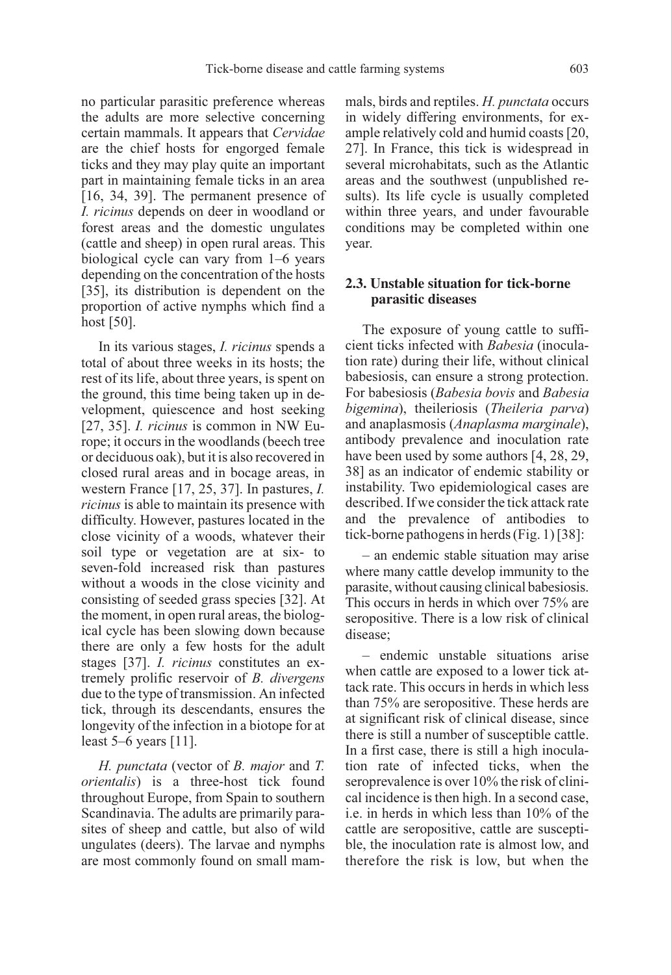no particular parasitic preference whereas the adults are more selective concerning certain mammals. It appears that Cervidae are the chief hosts for engorged female ticks and they may play quite an important part in maintaining female ticks in an area [16, 34, 39]. The permanent presence of I. ricinus depends on deer in woodland or forest areas and the domestic ungulates (cattle and sheep) in open rural areas. This biological cycle can vary from 1–6 years depending on the concentration of the hosts [35], its distribution is dependent on the proportion of active nymphs which find a host [50].

In its various stages, I. ricinus spends a total of about three weeks in its hosts; the rest of its life, about three years, is spent on the ground, this time being taken up in development, quiescence and host seeking [27, 35]. *I. ricinus* is common in NW Europe; it occurs in the woodlands (beech tree or deciduous oak), but it is also recovered in closed rural areas and in bocage areas, in western France [17, 25, 37]. In pastures, I. ricinus is able to maintain its presence with difficulty. However, pastures located in the close vicinity of a woods, whatever their soil type or vegetation are at six- to seven-fold increased risk than pastures without a woods in the close vicinity and consisting of seeded grass species [32]. At the moment, in open rural areas, the biological cycle has been slowing down because there are only a few hosts for the adult stages [37]. I. ricinus constitutes an extremely prolific reservoir of B. divergens due to the type of transmission. An infected tick, through its descendants, ensures the longevity of the infection in a biotope for at least 5–6 years [11].

H. punctata (vector of B. major and T. orientalis) is a three-host tick found throughout Europe, from Spain to southern Scandinavia. The adults are primarily parasites of sheep and cattle, but also of wild ungulates (deers). The larvae and nymphs are most commonly found on small mammals, birds and reptiles. H. punctata occurs in widely differing environments, for example relatively cold and humid coasts [20, 27]. In France, this tick is widespread in several microhabitats, such as the Atlantic areas and the southwest (unpublished results). Its life cycle is usually completed within three years, and under favourable conditions may be completed within one year.

# **2.3. Unstable situation for tick-borne parasitic diseases**

The exposure of young cattle to sufficient ticks infected with Babesia (inoculation rate) during their life, without clinical babesiosis, can ensure a strong protection. For babesiosis (Babesia bovis and Babesia bigemina), theileriosis (Theileria parva) and anaplasmosis (Anaplasma marginale), antibody prevalence and inoculation rate have been used by some authors [4, 28, 29, 38] as an indicator of endemic stability or instability. Two epidemiological cases are described. If we consider the tick attack rate and the prevalence of antibodies tick-borne pathogens in herds (Fig. 1) [38]:

– an endemic stable situation may arise where many cattle develop immunity to the parasite, without causing clinical babesiosis. This occurs in herds in which over 75% are seropositive. There is a low risk of clinical disease;

– endemic unstable situations arise when cattle are exposed to a lower tick attack rate. This occurs in herds in which less than 75% are seropositive. These herds are at significant risk of clinical disease, since there is still a number of susceptible cattle. In a first case, there is still a high inoculation rate of infected ticks, when the seroprevalence is over 10% the risk of clinical incidence is then high. In a second case, i.e. in herds in which less than 10% of the cattle are seropositive, cattle are susceptible, the inoculation rate is almost low, and therefore the risk is low, but when the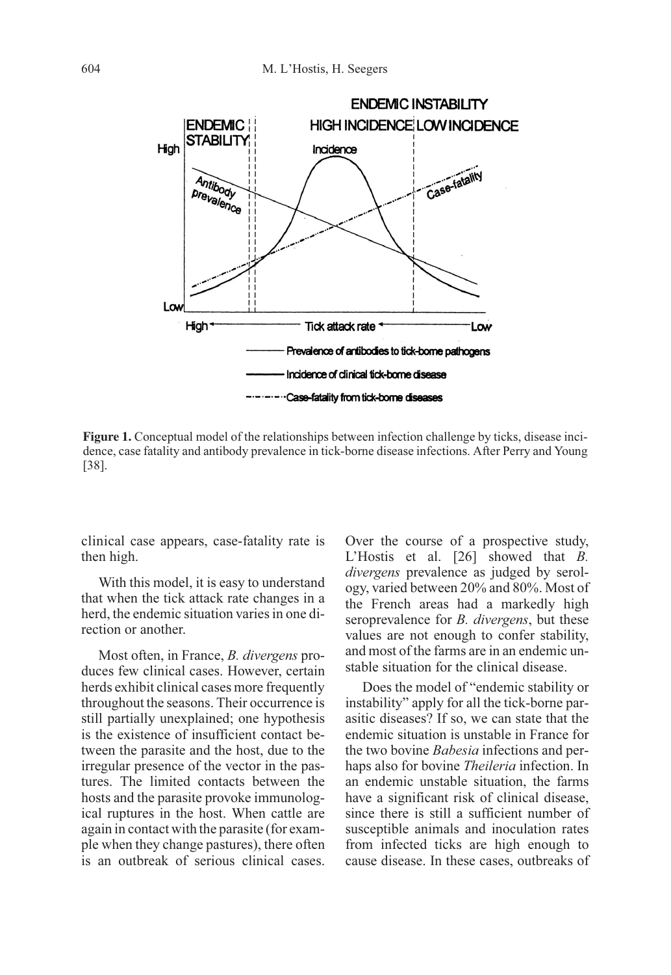

**Figure 1.** Conceptual model of the relationships between infection challenge by ticks, disease incidence, case fatality and antibody prevalence in tick-borne disease infections. After Perry and Young [38].

clinical case appears, case-fatality rate is then high.

With this model, it is easy to understand that when the tick attack rate changes in a herd, the endemic situation varies in one direction or another.

Most often, in France, B. divergens produces few clinical cases. However, certain herds exhibit clinical cases more frequently throughout the seasons. Their occurrence is still partially unexplained; one hypothesis is the existence of insufficient contact between the parasite and the host, due to the irregular presence of the vector in the pastures. The limited contacts between the hosts and the parasite provoke immunological ruptures in the host. When cattle are again in contact with the parasite (for example when they change pastures), there often is an outbreak of serious clinical cases. Over the course of a prospective study, L'Hostis et al. [26] showed that B. divergens prevalence as judged by serology, varied between 20% and 80%. Most of the French areas had a markedly high seroprevalence for *B. divergens*, but these values are not enough to confer stability, and most of the farms are in an endemic unstable situation for the clinical disease.

Does the model of "endemic stability or instability" apply for all the tick-borne parasitic diseases? If so, we can state that the endemic situation is unstable in France for the two bovine *Babesia* infections and perhaps also for bovine Theileria infection. In an endemic unstable situation, the farms have a significant risk of clinical disease. since there is still a sufficient number of susceptible animals and inoculation rates from infected ticks are high enough to cause disease. In these cases, outbreaks of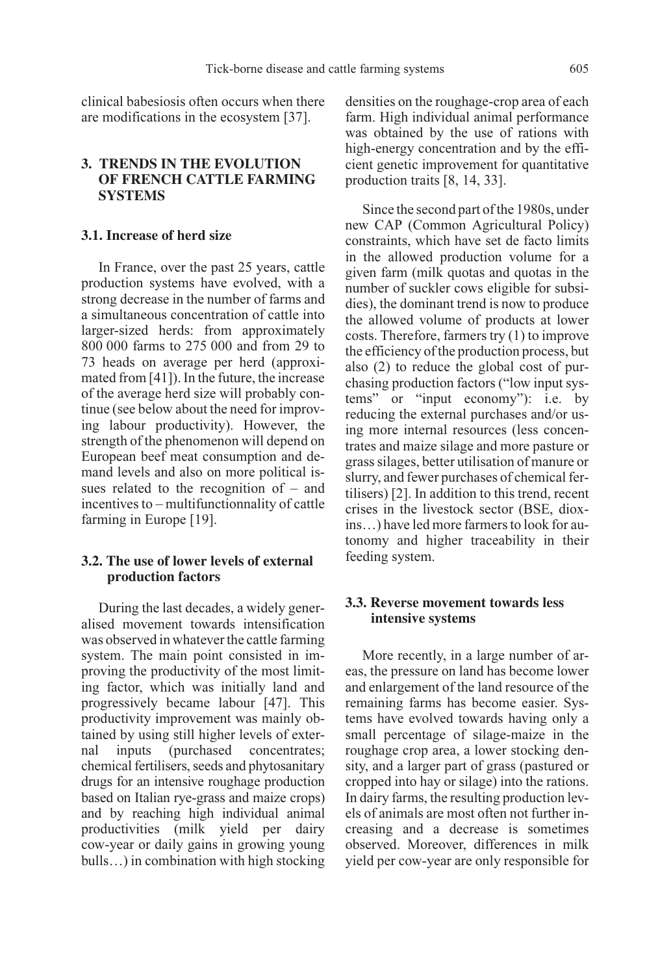clinical babesiosis often occurs when there are modifications in the ecosystem [37].

# **3. TRENDS IN THE EVOLUTION OF FRENCH CATTLE FARMING SYSTEMS**

#### **3.1. Increase of herd size**

In France, over the past 25 years, cattle production systems have evolved, with a strong decrease in the number of farms and a simultaneous concentration of cattle into larger-sized herds: from approximately 800 000 farms to 275 000 and from 29 to 73 heads on average per herd (approximated from [41]). In the future, the increase of the average herd size will probably continue (see below about the need for improving labour productivity). However, the strength of the phenomenon will depend on European beef meat consumption and demand levels and also on more political issues related to the recognition of – and incentives to – multifunctionnality of cattle farming in Europe [19].

# **3.2. The use of lower levels of external production factors**

During the last decades, a widely generalised movement towards intensification was observed in whatever the cattle farming system. The main point consisted in improving the productivity of the most limiting factor, which was initially land and progressively became labour [47]. This productivity improvement was mainly obtained by using still higher levels of external inputs (purchased concentrates; chemical fertilisers, seeds and phytosanitary drugs for an intensive roughage production based on Italian rye-grass and maize crops) and by reaching high individual animal productivities (milk yield per dairy cow-year or daily gains in growing young bulls…) in combination with high stocking densities on the roughage-crop area of each farm. High individual animal performance was obtained by the use of rations with high-energy concentration and by the efficient genetic improvement for quantitative production traits [8, 14, 33].

Since the second part of the 1980s, under new CAP (Common Agricultural Policy) constraints, which have set de facto limits in the allowed production volume for a given farm (milk quotas and quotas in the number of suckler cows eligible for subsidies), the dominant trend is now to produce the allowed volume of products at lower costs. Therefore, farmers try (1) to improve the efficiency of the production process, but also (2) to reduce the global cost of purchasing production factors ("low input systems" or "input economy"): i.e. by reducing the external purchases and/or using more internal resources (less concentrates and maize silage and more pasture or grass silages, better utilisation of manure or slurry, and fewer purchases of chemical fertilisers) [2]. In addition to this trend, recent crises in the livestock sector (BSE, dioxins…) have led more farmers to look for autonomy and higher traceability in their feeding system.

# **3.3. Reverse movement towards less intensive systems**

More recently, in a large number of areas, the pressure on land has become lower and enlargement of the land resource of the remaining farms has become easier. Systems have evolved towards having only a small percentage of silage-maize in the roughage crop area, a lower stocking density, and a larger part of grass (pastured or cropped into hay or silage) into the rations. In dairy farms, the resulting production levels of animals are most often not further increasing and a decrease is sometimes observed. Moreover, differences in milk yield per cow-year are only responsible for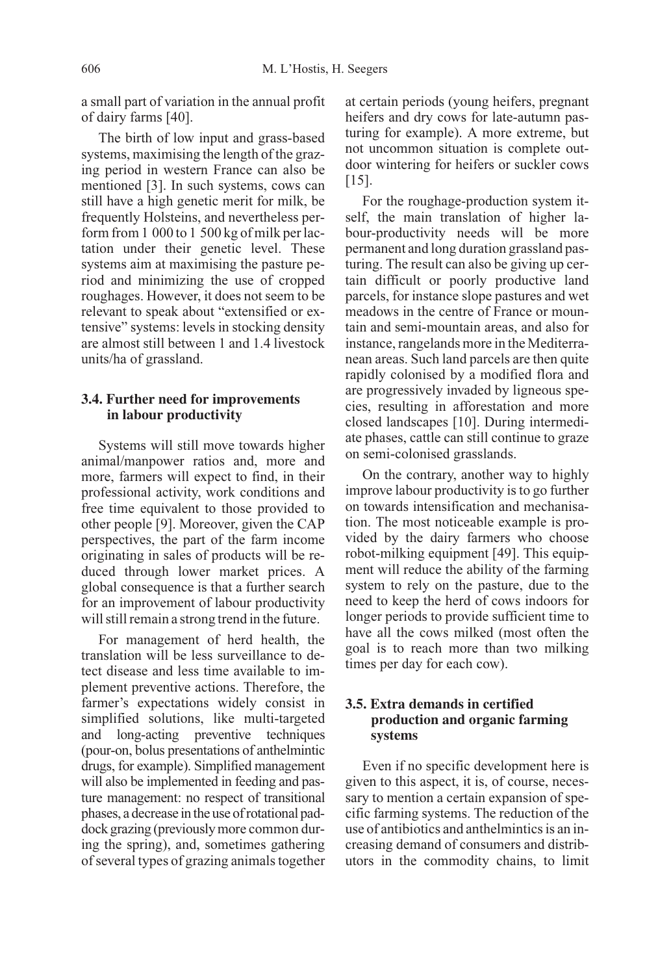a small part of variation in the annual profit of dairy farms [40].

The birth of low input and grass-based systems, maximising the length of the grazing period in western France can also be mentioned [3]. In such systems, cows can still have a high genetic merit for milk, be frequently Holsteins, and nevertheless perform from 1 000 to 1 500 kg of milk per lactation under their genetic level. These systems aim at maximising the pasture period and minimizing the use of cropped roughages. However, it does not seem to be relevant to speak about "extensified or extensive" systems: levels in stocking density are almost still between 1 and 1.4 livestock units/ha of grassland.

#### **3.4. Further need for improvements in labour productivity**

Systems will still move towards higher animal/manpower ratios and, more and more, farmers will expect to find, in their professional activity, work conditions and free time equivalent to those provided to other people [9]. Moreover, given the CAP perspectives, the part of the farm income originating in sales of products will be reduced through lower market prices. A global consequence is that a further search for an improvement of labour productivity will still remain a strong trend in the future.

For management of herd health, the translation will be less surveillance to detect disease and less time available to implement preventive actions. Therefore, the farmer's expectations widely consist in simplified solutions, like multi-targeted and long-acting preventive techniques (pour-on, bolus presentations of anthelmintic drugs, for example). Simplified management will also be implemented in feeding and pasture management: no respect of transitional phases, a decrease in the use of rotational paddock grazing (previously more common during the spring), and, sometimes gathering of several types of grazing animals together at certain periods (young heifers, pregnant heifers and dry cows for late-autumn pasturing for example). A more extreme, but not uncommon situation is complete outdoor wintering for heifers or suckler cows [15].

For the roughage-production system itself, the main translation of higher labour-productivity needs will be more permanent and long duration grassland pasturing. The result can also be giving up certain difficult or poorly productive land parcels, for instance slope pastures and wet meadows in the centre of France or mountain and semi-mountain areas, and also for instance, rangelands more in the Mediterranean areas. Such land parcels are then quite rapidly colonised by a modified flora and are progressively invaded by ligneous species, resulting in afforestation and more closed landscapes [10]. During intermediate phases, cattle can still continue to graze on semi-colonised grasslands.

On the contrary, another way to highly improve labour productivity is to go further on towards intensification and mechanisation. The most noticeable example is provided by the dairy farmers who choose robot-milking equipment [49]. This equipment will reduce the ability of the farming system to rely on the pasture, due to the need to keep the herd of cows indoors for longer periods to provide sufficient time to have all the cows milked (most often the goal is to reach more than two milking times per day for each cow).

# **3.5. Extra demands in certified production and organic farming systems**

Even if no specific development here is given to this aspect, it is, of course, necessary to mention a certain expansion of specific farming systems. The reduction of the use of antibiotics and anthelmintics is an increasing demand of consumers and distributors in the commodity chains, to limit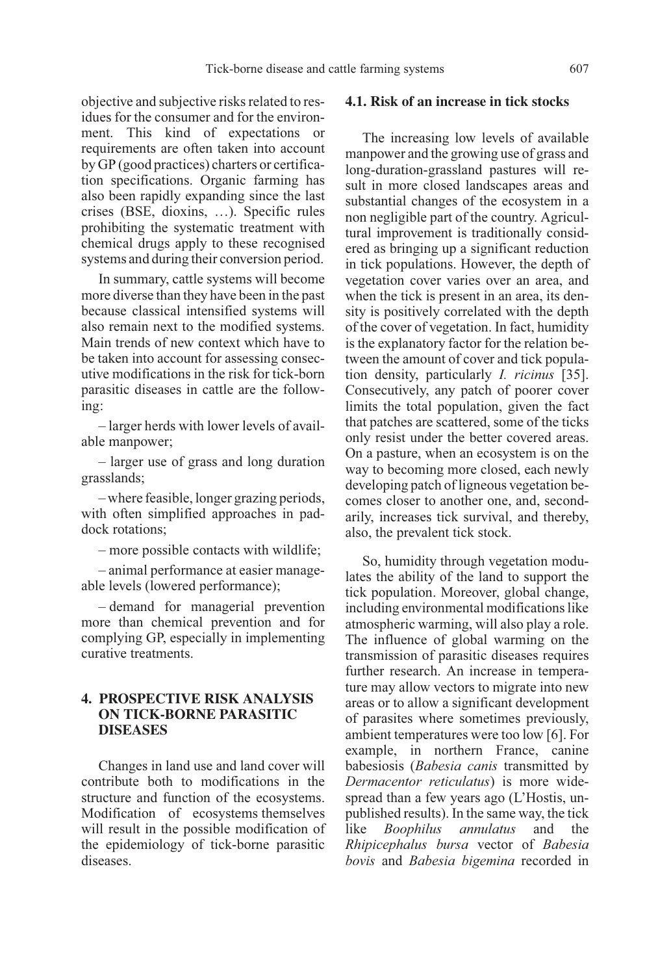objective and subjective risks related to residues for the consumer and for the environment. This kind of expectations or requirements are often taken into account by GP (good practices) charters or certification specifications. Organic farming has also been rapidly expanding since the last crises (BSE, dioxins, …). Specific rules prohibiting the systematic treatment with chemical drugs apply to these recognised systems and during their conversion period.

In summary, cattle systems will become more diverse than they have been in the past because classical intensified systems will also remain next to the modified systems. Main trends of new context which have to be taken into account for assessing consecutive modifications in the risk for tick-born parasitic diseases in cattle are the following:

– larger herds with lower levels of available manpower;

– larger use of grass and long duration grasslands;

– where feasible, longer grazing periods, with often simplified approaches in paddock rotations;

– more possible contacts with wildlife;

– animal performance at easier manageable levels (lowered performance);

– demand for managerial prevention more than chemical prevention and for complying GP, especially in implementing curative treatments.

# **4. PROSPECTIVE RISK ANALYSIS ON TICK-BORNE PARASITIC DISEASES**

Changes in land use and land cover will contribute both to modifications in the structure and function of the ecosystems. Modification of ecosystems themselves will result in the possible modification of the epidemiology of tick-borne parasitic diseases.

#### **4.1. Risk of an increase in tick stocks**

The increasing low levels of available manpower and the growing use of grass and long-duration-grassland pastures will result in more closed landscapes areas and substantial changes of the ecosystem in a non negligible part of the country. Agricultural improvement is traditionally considered as bringing up a significant reduction in tick populations. However, the depth of vegetation cover varies over an area, and when the tick is present in an area, its density is positively correlated with the depth of the cover of vegetation. In fact, humidity is the explanatory factor for the relation between the amount of cover and tick population density, particularly I. ricinus [35]. Consecutively, any patch of poorer cover limits the total population, given the fact that patches are scattered, some of the ticks only resist under the better covered areas. On a pasture, when an ecosystem is on the way to becoming more closed, each newly developing patch of ligneous vegetation becomes closer to another one, and, secondarily, increases tick survival, and thereby, also, the prevalent tick stock.

So, humidity through vegetation modulates the ability of the land to support the tick population. Moreover, global change, including environmental modifications like atmospheric warming, will also play a role. The influence of global warming on the transmission of parasitic diseases requires further research. An increase in temperature may allow vectors to migrate into new areas or to allow a significant development of parasites where sometimes previously, ambient temperatures were too low [6]. For example, in northern France, canine babesiosis (Babesia canis transmitted by Dermacentor reticulatus) is more widespread than a few years ago (L'Hostis, unpublished results). In the same way, the tick like Boophilus annulatus and the Rhipicephalus bursa vector of Babesia bovis and Babesia bigemina recorded in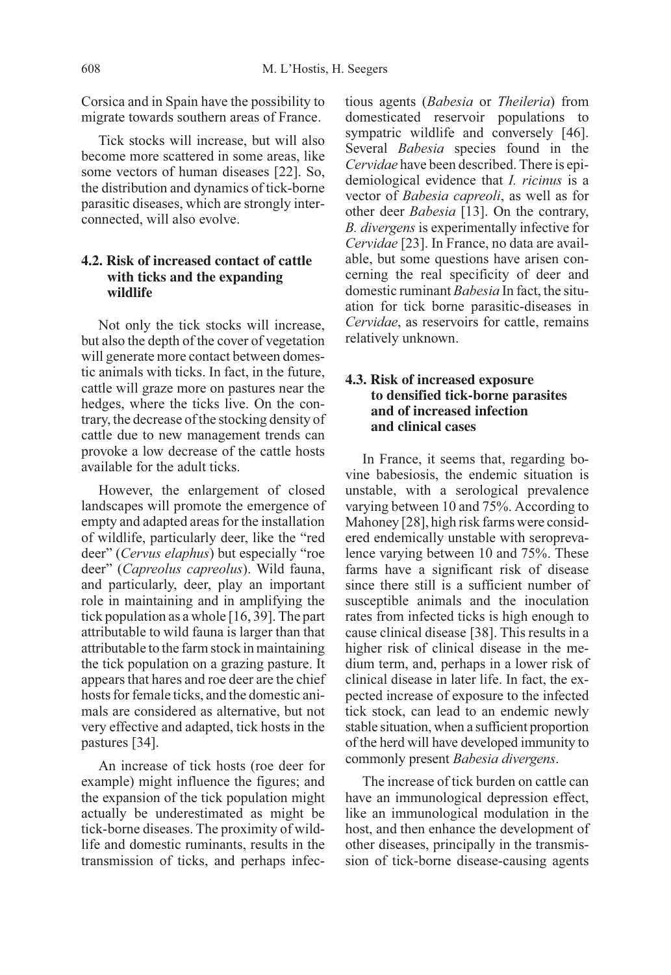Corsica and in Spain have the possibility to migrate towards southern areas of France.

Tick stocks will increase, but will also become more scattered in some areas, like some vectors of human diseases [22]. So, the distribution and dynamics of tick-borne parasitic diseases, which are strongly interconnected, will also evolve.

# **4.2. Risk of increased contact of cattle with ticks and the expanding wildlife**

Not only the tick stocks will increase, but also the depth of the cover of vegetation will generate more contact between domestic animals with ticks. In fact, in the future, cattle will graze more on pastures near the hedges, where the ticks live. On the contrary, the decrease of the stocking density of cattle due to new management trends can provoke a low decrease of the cattle hosts available for the adult ticks.

However, the enlargement of closed landscapes will promote the emergence of empty and adapted areas for the installation of wildlife, particularly deer, like the "red deer" (Cervus elaphus) but especially "roe deer" (Capreolus capreolus). Wild fauna, and particularly, deer, play an important role in maintaining and in amplifying the tick population as a whole [16, 39]. The part attributable to wild fauna is larger than that attributable to the farm stock in maintaining the tick population on a grazing pasture. It appears that hares and roe deer are the chief hosts for female ticks, and the domestic animals are considered as alternative, but not very effective and adapted, tick hosts in the pastures [34].

An increase of tick hosts (roe deer for example) might influence the figures; and the expansion of the tick population might actually be underestimated as might be tick-borne diseases. The proximity of wildlife and domestic ruminants, results in the transmission of ticks, and perhaps infectious agents (Babesia or Theileria) from domesticated reservoir populations to sympatric wildlife and conversely [46]. Several Babesia species found in the Cervidae have been described. There is epidemiological evidence that I. ricinus is a vector of Babesia capreoli, as well as for other deer Babesia [13]. On the contrary, B. divergens is experimentally infective for Cervidae [23]. In France, no data are available, but some questions have arisen concerning the real specificity of deer and domestic ruminant Babesia In fact, the situation for tick borne parasitic-diseases in Cervidae, as reservoirs for cattle, remains relatively unknown.

# **4.3. Risk of increased exposure to densified tick-borne parasites and of increased infection and clinical cases**

In France, it seems that, regarding bovine babesiosis, the endemic situation is unstable, with a serological prevalence varying between 10 and 75%. According to Mahoney [28], high risk farms were considered endemically unstable with seroprevalence varying between 10 and 75%. These farms have a significant risk of disease since there still is a sufficient number of susceptible animals and the inoculation rates from infected ticks is high enough to cause clinical disease [38]. This results in a higher risk of clinical disease in the medium term, and, perhaps in a lower risk of clinical disease in later life. In fact, the expected increase of exposure to the infected tick stock, can lead to an endemic newly stable situation, when a sufficient proportion of the herd will have developed immunity to commonly present Babesia divergens.

The increase of tick burden on cattle can have an immunological depression effect, like an immunological modulation in the host, and then enhance the development of other diseases, principally in the transmission of tick-borne disease-causing agents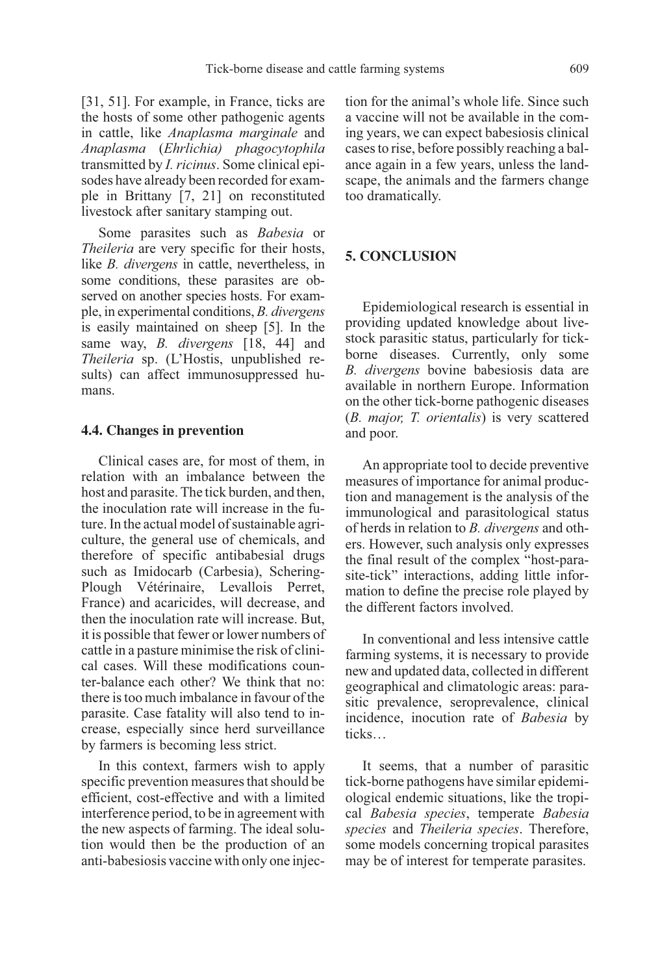[31, 51]. For example, in France, ticks are the hosts of some other pathogenic agents in cattle, like Anaplasma marginale and Anaplasma (Ehrlichia) phagocytophila transmitted by I. ricinus. Some clinical episodes have already been recorded for example in Brittany [7, 21] on reconstituted livestock after sanitary stamping out.

Some parasites such as Babesia or Theileria are very specific for their hosts, like B. divergens in cattle, nevertheless, in some conditions, these parasites are observed on another species hosts. For example, in experimental conditions, B. divergens is easily maintained on sheep [5]. In the same way, *B. divergens*  $\begin{bmatrix} 18, 44 \end{bmatrix}$  and Theileria sp. (L'Hostis, unpublished results) can affect immunosuppressed humans.

#### **4.4. Changes in prevention**

Clinical cases are, for most of them, in relation with an imbalance between the host and parasite. The tick burden, and then, the inoculation rate will increase in the future. In the actual model of sustainable agriculture, the general use of chemicals, and therefore of specific antibabesial drugs such as Imidocarb (Carbesia), Schering-Plough Vétérinaire, Levallois Perret, France) and acaricides, will decrease, and then the inoculation rate will increase. But, it is possible that fewer or lower numbers of cattle in a pasture minimise the risk of clinical cases. Will these modifications counter-balance each other? We think that no: there is too much imbalance in favour of the parasite. Case fatality will also tend to increase, especially since herd surveillance by farmers is becoming less strict.

In this context, farmers wish to apply specific prevention measures that should be efficient, cost-effective and with a limited interference period, to be in agreement with the new aspects of farming. The ideal solution would then be the production of an anti-babesiosis vaccine with only one injection for the animal's whole life. Since such a vaccine will not be available in the coming years, we can expect babesiosis clinical cases to rise, before possibly reaching a balance again in a few years, unless the landscape, the animals and the farmers change too dramatically.

#### **5. CONCLUSION**

Epidemiological research is essential in providing updated knowledge about livestock parasitic status, particularly for tickborne diseases. Currently, only some B. divergens bovine babesiosis data are available in northern Europe. Information on the other tick-borne pathogenic diseases (B. major, T. orientalis) is very scattered and poor.

An appropriate tool to decide preventive measures of importance for animal production and management is the analysis of the immunological and parasitological status of herds in relation to B. divergens and others. However, such analysis only expresses the final result of the complex "host-parasite-tick" interactions, adding little information to define the precise role played by the different factors involved.

In conventional and less intensive cattle farming systems, it is necessary to provide new and updated data, collected in different geographical and climatologic areas: parasitic prevalence, seroprevalence, clinical incidence, inocution rate of Babesia by ticks…

It seems, that a number of parasitic tick-borne pathogens have similar epidemiological endemic situations, like the tropical Babesia species, temperate Babesia species and Theileria species. Therefore, some models concerning tropical parasites may be of interest for temperate parasites.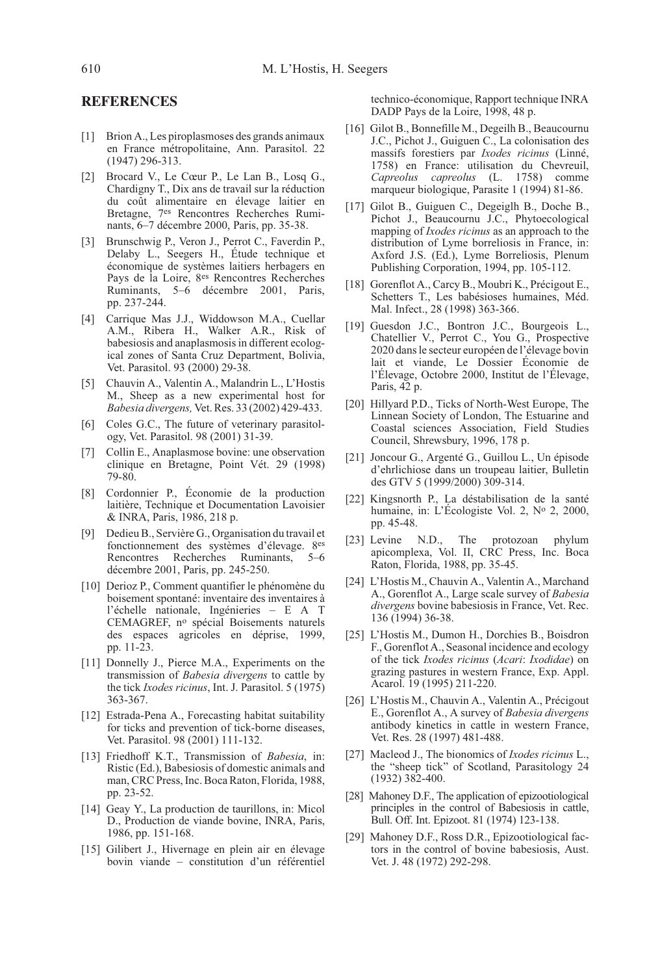#### **REFERENCES**

- [1] Brion A., Les piroplasmoses des grands animaux en France métropolitaine, Ann. Parasitol. 22 (1947) 296-313.
- [2] Brocard V., Le Cœur P., Le Lan B., Losq G., Chardigny T., Dix ans de travail sur la réduction du coût alimentaire en élevage laitier en Bretagne, 7es Rencontres Recherches Ruminants, 6–7 décembre 2000, Paris, pp. 35-38.
- [3] Brunschwig P., Veron J., Perrot C., Faverdin P., Delaby L., Seegers H., Étude technique et économique de systèmes laitiers herbagers en Pays de la Loire, 8es Rencontres Recherches Ruminants, 5–6 décembre 2001, Paris, pp. 237-244.
- [4] Carrique Mas J.J., Widdowson M.A., Cuellar A.M., Ribera H., Walker A.R., Risk of babesiosis and anaplasmosis in different ecological zones of Santa Cruz Department, Bolivia, Vet. Parasitol. 93 (2000) 29-38.
- [5] Chauvin A., Valentin A., Malandrin L., L'Hostis M., Sheep as a new experimental host for Babesia divergens, Vet. Res. 33 (2002) 429-433.
- [6] Coles G.C., The future of veterinary parasitology, Vet. Parasitol. 98 (2001) 31-39.
- [7] Collin E., Anaplasmose bovine: une observation clinique en Bretagne, Point Vét. 29 (1998) 79-80.
- [8] Cordonnier P., Économie de la production laitière, Technique et Documentation Lavoisier & INRA, Paris, 1986, 218 p.
- [9] Dedieu B., Servière G., Organisation du travail et fonctionnement des systèmes d'élevage. 8es Rencontres Recherches Ruminants, 5–6 décembre 2001, Paris, pp. 245-250.
- [10] Derioz P., Comment quantifier le phénomène du boisement spontané: inventaire des inventaires à l'échelle nationale, Ingénieries – E A T CEMAGREF, no spécial Boisements naturels des espaces agricoles en déprise, 1999, pp. 11-23.
- [11] Donnelly J., Pierce M.A., Experiments on the transmission of Babesia divergens to cattle by the tick Ixodes ricinus, Int. J. Parasitol. 5 (1975) 363-367.
- [12] Estrada-Pena A., Forecasting habitat suitability for ticks and prevention of tick-borne diseases, Vet. Parasitol. 98 (2001) 111-132.
- [13] Friedhoff K.T., Transmission of Babesia, in: Ristic (Ed.), Babesiosis of domestic animals and man, CRC Press, Inc. Boca Raton, Florida, 1988, pp. 23-52.
- [14] Geay Y., La production de taurillons, in: Micol D., Production de viande bovine, INRA, Paris, 1986, pp. 151-168.
- [15] Gilibert J., Hivernage en plein air en élevage bovin viande – constitution d'un référentiel

technico-économique, Rapport technique INRA DADP Pays de la Loire, 1998, 48 p.

- [16] Gilot B., Bonnefille M., Degeilh B., Beaucournu J.C., Pichot J., Guiguen C., La colonisation des massifs forestiers par Ixodes ricinus (Linné, 1758) en France: utilisation du Chevreuil, Capreolus capreolus (L. 1758) comme marqueur biologique, Parasite 1 (1994) 81-86.
- [17] Gilot B., Guiguen C., Degeiglh B., Doche B., Pichot J., Beaucournu J.C., Phytoecological mapping of Ixodes ricinus as an approach to the distribution of Lyme borreliosis in France, in: Axford J.S. (Ed.), Lyme Borreliosis, Plenum Publishing Corporation, 1994, pp. 105-112.
- [18] Gorenflot A., Carcy B., Moubri K., Précigout E., Schetters T., Les babésioses humaines, Méd. Mal. Infect., 28 (1998) 363-366.
- [19] Guesdon J.C., Bontron J.C., Bourgeois L., Chatellier V., Perrot C., You G., Prospective 2020 dans le secteur européen de l'élevage bovin lait et viande, Le Dossier Économie de l'Élevage, Octobre 2000, Institut de l'Élevage, Paris, 42 p.
- [20] Hillyard P.D., Ticks of North-West Europe, The Linnean Society of London, The Estuarine and Coastal sciences Association, Field Studies Council, Shrewsbury, 1996, 178 p.
- [21] Joncour G., Argenté G., Guillou L., Un épisode d'ehrlichiose dans un troupeau laitier, Bulletin des GTV 5 (1999/2000) 309-314.
- [22] Kingsnorth P., La déstabilisation de la santé humaine, in: L'Écologiste Vol. 2, Nº 2, 2000, pp. 45-48.
- [23] Levine N.D., The protozoan phylum apicomplexa, Vol. II, CRC Press, Inc. Boca Raton, Florida, 1988, pp. 35-45.
- [24] L'Hostis M., Chauvin A., Valentin A., Marchand A., Gorenflot A., Large scale survey of Babesia divergens bovine babesiosis in France, Vet. Rec. 136 (1994) 36-38.
- [25] L'Hostis M., Dumon H., Dorchies B., Boisdron F., Gorenflot A., Seasonal incidence and ecology of the tick Ixodes ricinus (Acari: Ixodidae) on grazing pastures in western France, Exp. Appl. Acarol. 19 (1995) 211-220.
- [26] L'Hostis M., Chauvin A., Valentin A., Précigout E., Gorenflot A., A survey of Babesia divergens antibody kinetics in cattle in western France, Vet. Res. 28 (1997) 481-488.
- [27] Macleod J., The bionomics of *Ixodes ricinus* L., the "sheep tick" of Scotland, Parasitology 24 (1932) 382-400.
- [28] Mahoney D.F., The application of epizootiological principles in the control of Babesiosis in cattle, Bull. Off. Int. Epizoot. 81 (1974) 123-138.
- [29] Mahoney D.F., Ross D.R., Epizootiological factors in the control of bovine babesiosis, Aust. Vet. J. 48 (1972) 292-298.